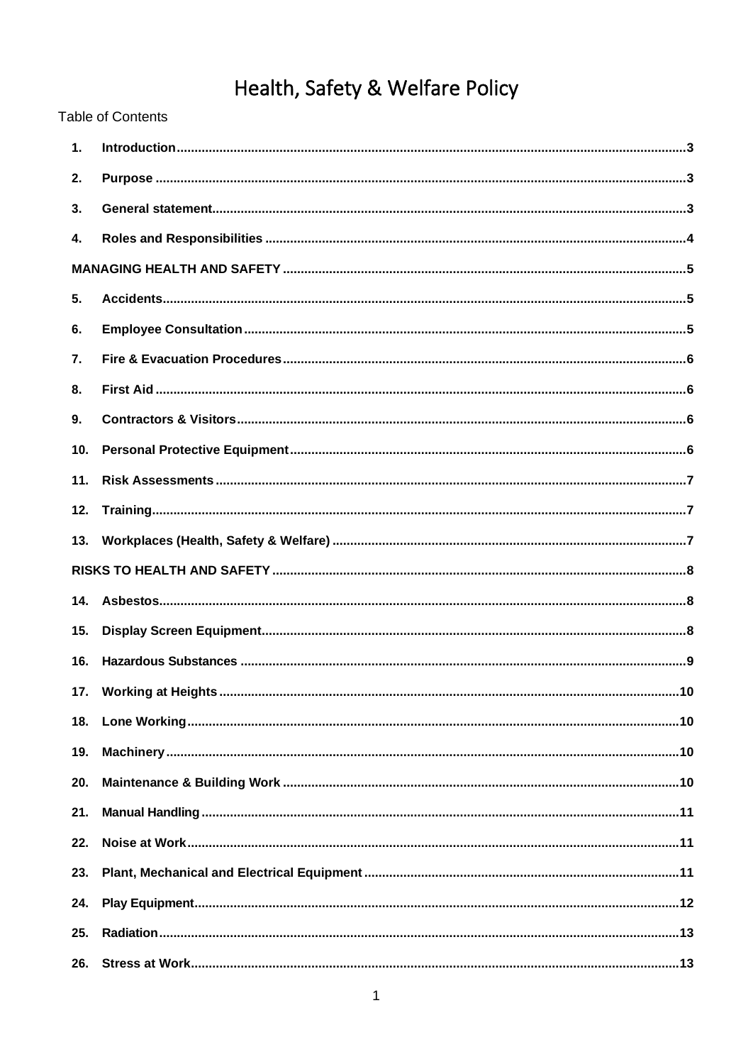# Health, Safety & Welfare Policy

**Table of Contents** 

| 1.  |  |
|-----|--|
| 2.  |  |
| 3.  |  |
| 4.  |  |
|     |  |
| 5.  |  |
| 6.  |  |
| 7.  |  |
| 8.  |  |
| 9.  |  |
| 10. |  |
| 11. |  |
| 12. |  |
|     |  |
|     |  |
| 14. |  |
| 15. |  |
| 16. |  |
|     |  |
| 18. |  |
| 19. |  |
| 20. |  |
| 21. |  |
| 22. |  |
| 23. |  |
| 24. |  |
| 25. |  |
| 26. |  |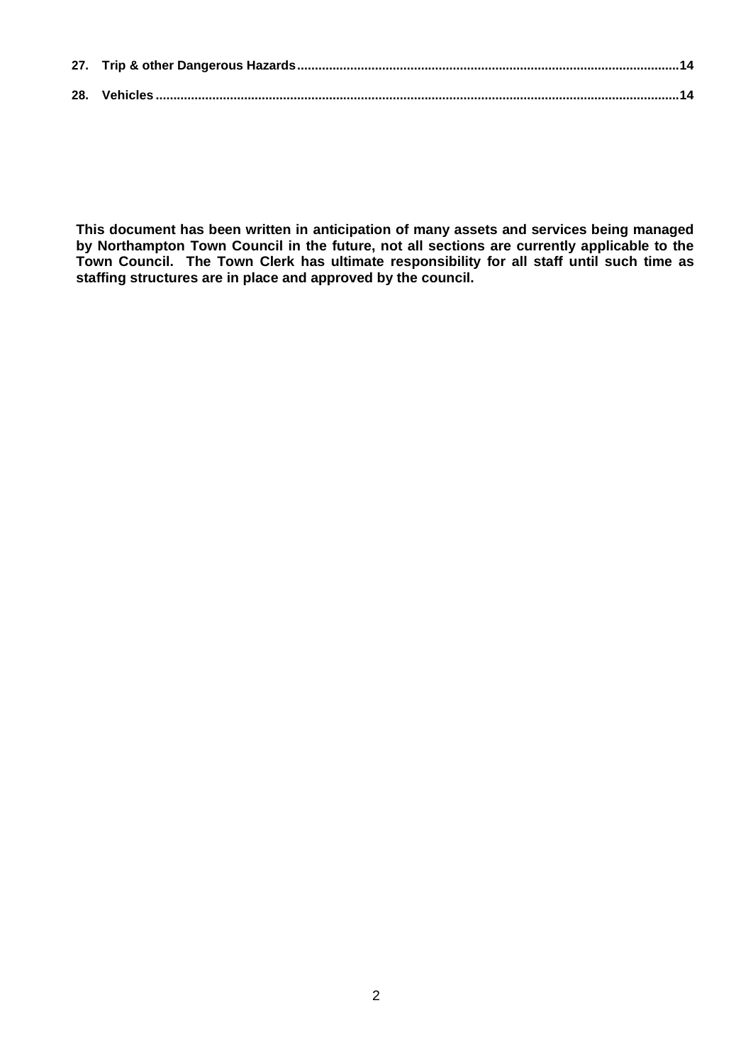**This document has been written in anticipation of many assets and services being managed by Northampton Town Council in the future, not all sections are currently applicable to the Town Council. The Town Clerk has ultimate responsibility for all staff until such time as staffing structures are in place and approved by the council.**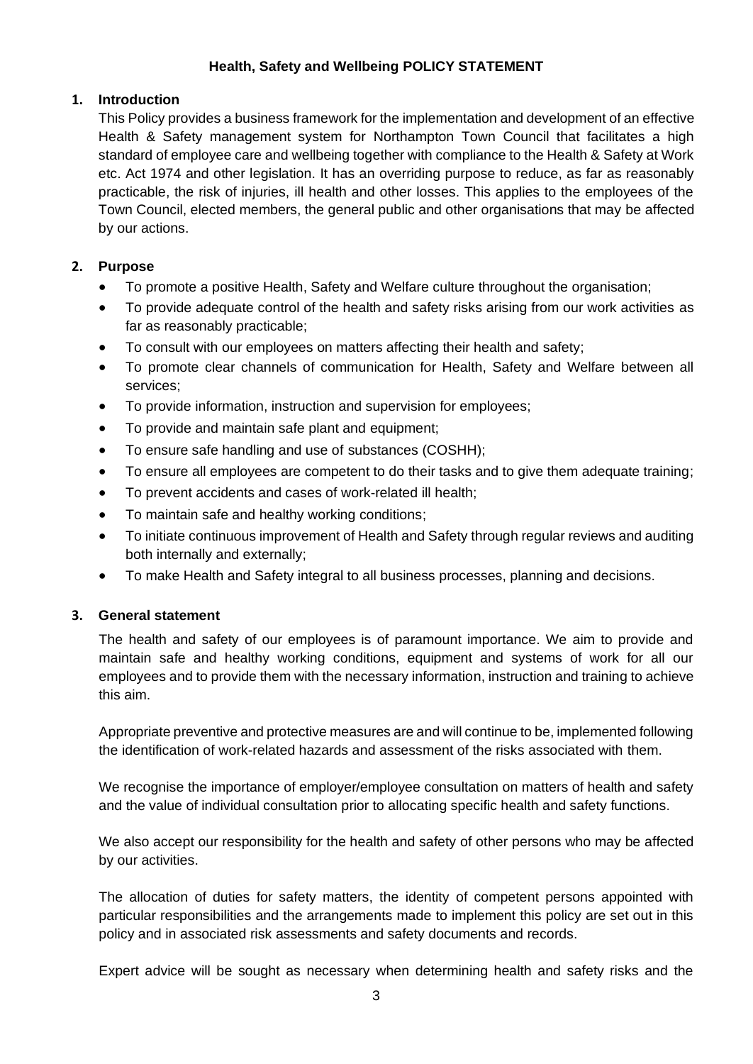# **Health, Safety and Wellbeing POLICY STATEMENT**

# <span id="page-2-0"></span>**1. Introduction**

This Policy provides a business framework for the implementation and development of an effective Health & Safety management system for Northampton Town Council that facilitates a high standard of employee care and wellbeing together with compliance to the Health & Safety at Work etc. Act 1974 and other legislation. It has an overriding purpose to reduce, as far as reasonably practicable, the risk of injuries, ill health and other losses. This applies to the employees of the Town Council, elected members, the general public and other organisations that may be affected by our actions.

# <span id="page-2-1"></span>**2. Purpose**

- To promote a positive Health, Safety and Welfare culture throughout the organisation;
- To provide adequate control of the health and safety risks arising from our work activities as far as reasonably practicable;
- To consult with our employees on matters affecting their health and safety;
- To promote clear channels of communication for Health, Safety and Welfare between all services;
- To provide information, instruction and supervision for employees;
- To provide and maintain safe plant and equipment;
- To ensure safe handling and use of substances (COSHH);
- To ensure all employees are competent to do their tasks and to give them adequate training;
- To prevent accidents and cases of work-related ill health;
- To maintain safe and healthy working conditions;
- To initiate continuous improvement of Health and Safety through regular reviews and auditing both internally and externally;
- To make Health and Safety integral to all business processes, planning and decisions.

# <span id="page-2-2"></span>**3. General statement**

The health and safety of our employees is of paramount importance. We aim to provide and maintain safe and healthy working conditions, equipment and systems of work for all our employees and to provide them with the necessary information, instruction and training to achieve this aim.

Appropriate preventive and protective measures are and will continue to be, implemented following the identification of work-related hazards and assessment of the risks associated with them.

We recognise the importance of employer/employee consultation on matters of health and safety and the value of individual consultation prior to allocating specific health and safety functions.

We also accept our responsibility for the health and safety of other persons who may be affected by our activities.

The allocation of duties for safety matters, the identity of competent persons appointed with particular responsibilities and the arrangements made to implement this policy are set out in this policy and in associated risk assessments and safety documents and records.

Expert advice will be sought as necessary when determining health and safety risks and the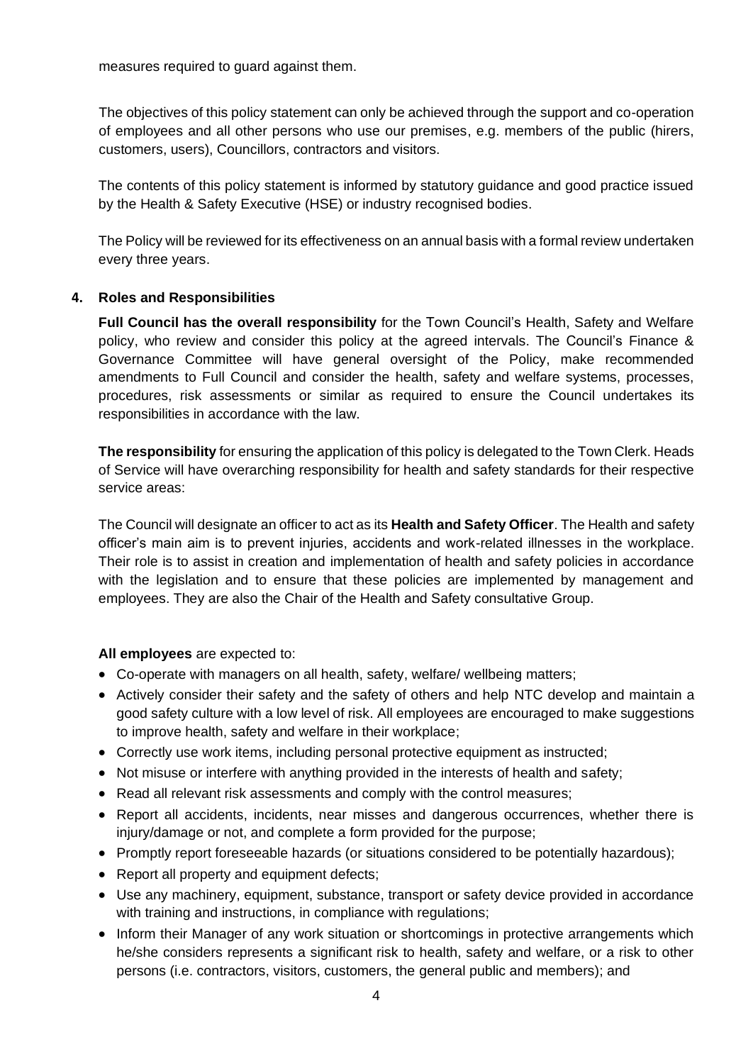measures required to guard against them.

The objectives of this policy statement can only be achieved through the support and co-operation of employees and all other persons who use our premises, e.g. members of the public (hirers, customers, users), Councillors, contractors and visitors.

The contents of this policy statement is informed by statutory guidance and good practice issued by the Health & Safety Executive (HSE) or industry recognised bodies.

The Policy will be reviewed for its effectiveness on an annual basis with a formal review undertaken every three years.

# <span id="page-3-0"></span>**4. Roles and Responsibilities**

**Full Council has the overall responsibility** for the Town Council's Health, Safety and Welfare policy, who review and consider this policy at the agreed intervals. The Council's Finance & Governance Committee will have general oversight of the Policy, make recommended amendments to Full Council and consider the health, safety and welfare systems, processes, procedures, risk assessments or similar as required to ensure the Council undertakes its responsibilities in accordance with the law.

**The responsibility** for ensuring the application of this policy is delegated to the Town Clerk. Heads of Service will have overarching responsibility for health and safety standards for their respective service areas:

The Council will designate an officer to act as its **Health and Safety Officer**. The Health and safety officer's main aim is to prevent injuries, accidents and work-related illnesses in the workplace. Their role is to assist in creation and implementation of health and safety policies in accordance with the legislation and to ensure that these policies are implemented by management and employees. They are also the Chair of the Health and Safety consultative Group.

# **All employees** are expected to:

- Co-operate with managers on all health, safety, welfare/ wellbeing matters;
- Actively consider their safety and the safety of others and help NTC develop and maintain a good safety culture with a low level of risk. All employees are encouraged to make suggestions to improve health, safety and welfare in their workplace;
- Correctly use work items, including personal protective equipment as instructed;
- Not misuse or interfere with anything provided in the interests of health and safety;
- Read all relevant risk assessments and comply with the control measures;
- Report all accidents, incidents, near misses and dangerous occurrences, whether there is injury/damage or not, and complete a form provided for the purpose;
- Promptly report foreseeable hazards (or situations considered to be potentially hazardous);
- Report all property and equipment defects;
- Use any machinery, equipment, substance, transport or safety device provided in accordance with training and instructions, in compliance with regulations;
- Inform their Manager of any work situation or shortcomings in protective arrangements which he/she considers represents a significant risk to health, safety and welfare, or a risk to other persons (i.e. contractors, visitors, customers, the general public and members); and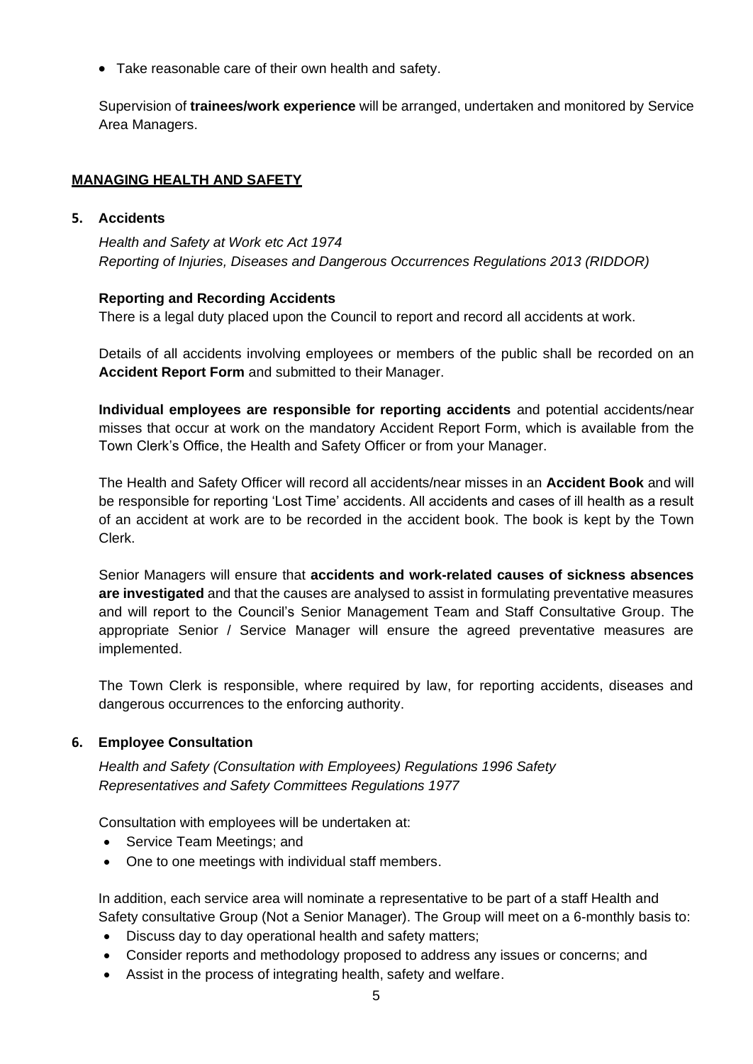• Take reasonable care of their own health and safety.

Supervision of **trainees/work experience** will be arranged, undertaken and monitored by Service Area Managers.

# <span id="page-4-0"></span>**MANAGING HEALTH AND SAFETY**

# <span id="page-4-1"></span>**5. Accidents**

*Health and Safety at Work etc Act 1974 Reporting of Injuries, Diseases and Dangerous Occurrences Regulations 2013 (RIDDOR)*

# **Reporting and Recording Accidents**

There is a legal duty placed upon the Council to report and record all accidents at work.

Details of all accidents involving employees or members of the public shall be recorded on an **Accident Report Form** and submitted to their Manager.

**Individual employees are responsible for reporting accidents** and potential accidents/near misses that occur at work on the mandatory Accident Report Form, which is available from the Town Clerk's Office, the Health and Safety Officer or from your Manager.

The Health and Safety Officer will record all accidents/near misses in an **Accident Book** and will be responsible for reporting 'Lost Time' accidents. All accidents and cases of ill health as a result of an accident at work are to be recorded in the accident book. The book is kept by the Town Clerk.

Senior Managers will ensure that **accidents and work-related causes of sickness absences are investigated** and that the causes are analysed to assist in formulating preventative measures and will report to the Council's Senior Management Team and Staff Consultative Group. The appropriate Senior / Service Manager will ensure the agreed preventative measures are implemented.

The Town Clerk is responsible, where required by law, for reporting accidents, diseases and dangerous occurrences to the enforcing authority.

# <span id="page-4-2"></span>**6. Employee Consultation**

*Health and Safety (Consultation with Employees) Regulations 1996 Safety Representatives and Safety Committees Regulations 1977*

Consultation with employees will be undertaken at:

- Service Team Meetings; and
- One to one meetings with individual staff members.

In addition, each service area will nominate a representative to be part of a staff Health and Safety consultative Group (Not a Senior Manager). The Group will meet on a 6-monthly basis to:

- Discuss day to day operational health and safety matters;
- Consider reports and methodology proposed to address any issues or concerns; and
- Assist in the process of integrating health, safety and welfare.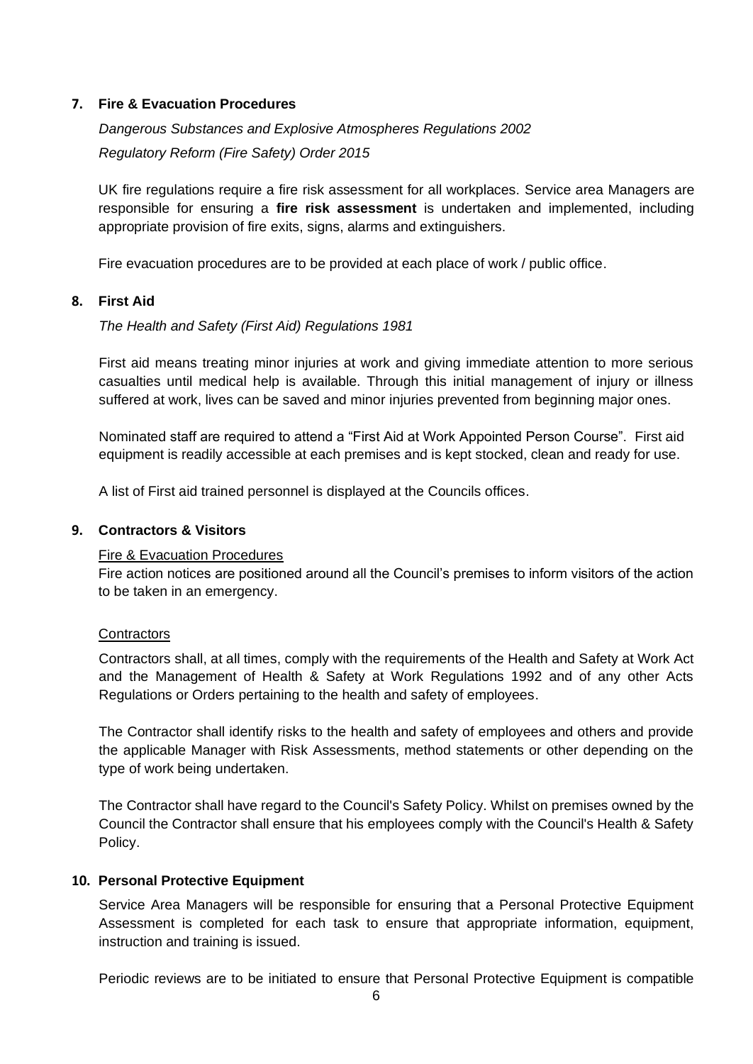# <span id="page-5-0"></span>**7. Fire & Evacuation Procedures**

*Dangerous Substances and Explosive Atmospheres Regulations 2002 Regulatory Reform (Fire Safety) Order 2015*

UK fire regulations require a fire risk assessment for all workplaces. Service area Managers are responsible for ensuring a **fire risk assessment** is undertaken and implemented, including appropriate provision of fire exits, signs, alarms and extinguishers.

Fire evacuation procedures are to be provided at each place of work / public office.

# <span id="page-5-1"></span>**8. First Aid**

*The Health and Safety (First Aid) Regulations 1981*

First aid means treating minor injuries at work and giving immediate attention to more serious casualties until medical help is available. Through this initial management of injury or illness suffered at work, lives can be saved and minor injuries prevented from beginning major ones.

Nominated staff are required to attend a "First Aid at Work Appointed Person Course". First aid equipment is readily accessible at each premises and is kept stocked, clean and ready for use.

A list of First aid trained personnel is displayed at the Councils offices.

# <span id="page-5-2"></span>**9. Contractors & Visitors**

# Fire & Evacuation Procedures

Fire action notices are positioned around all the Council's premises to inform visitors of the action to be taken in an emergency.

# **Contractors**

Contractors shall, at all times, comply with the requirements of the Health and Safety at Work Act and the Management of Health & Safety at Work Regulations 1992 and of any other Acts Regulations or Orders pertaining to the health and safety of employees.

The Contractor shall identify risks to the health and safety of employees and others and provide the applicable Manager with Risk Assessments, method statements or other depending on the type of work being undertaken.

The Contractor shall have regard to the Council's Safety Policy. Whilst on premises owned by the Council the Contractor shall ensure that his employees comply with the Council's Health & Safety Policy.

# <span id="page-5-3"></span>**10. Personal Protective Equipment**

Service Area Managers will be responsible for ensuring that a Personal Protective Equipment Assessment is completed for each task to ensure that appropriate information, equipment, instruction and training is issued.

Periodic reviews are to be initiated to ensure that Personal Protective Equipment is compatible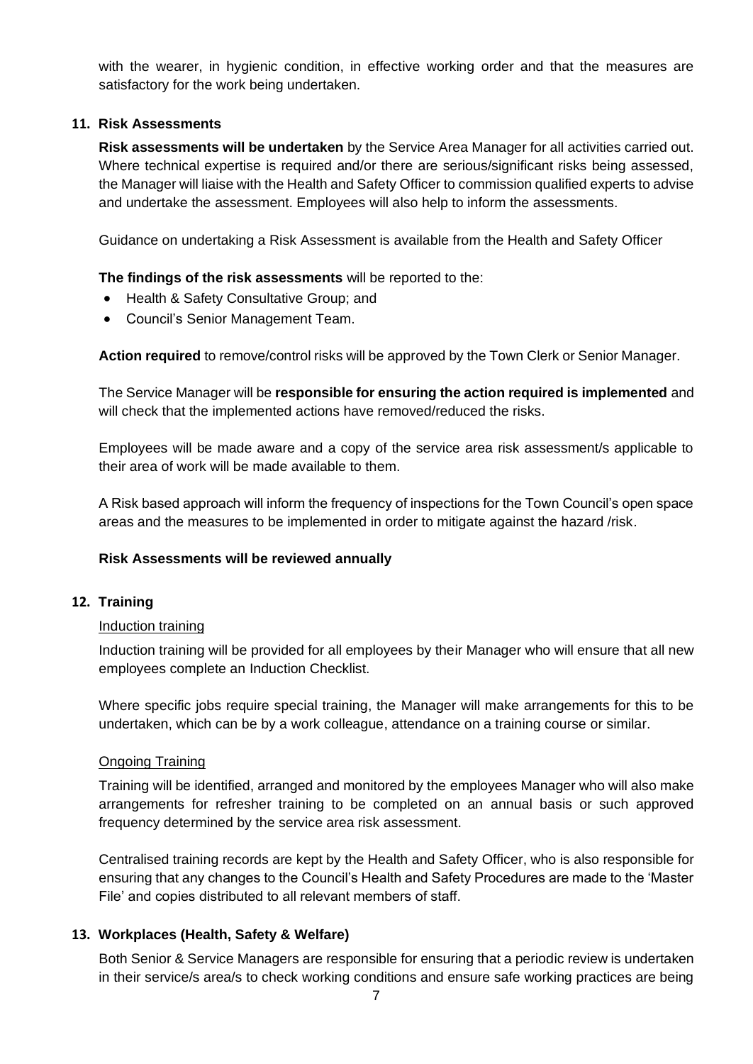with the wearer, in hygienic condition, in effective working order and that the measures are satisfactory for the work being undertaken.

#### <span id="page-6-0"></span>**11. Risk Assessments**

**Risk assessments will be undertaken** by the Service Area Manager for all activities carried out. Where technical expertise is required and/or there are serious/significant risks being assessed, the Manager will liaise with the Health and Safety Officer to commission qualified experts to advise and undertake the assessment. Employees will also help to inform the assessments.

Guidance on undertaking a Risk Assessment is available from the Health and Safety Officer

# **The findings of the risk assessments** will be reported to the:

- Health & Safety Consultative Group; and
- Council's Senior Management Team.

**Action required** to remove/control risks will be approved by the Town Clerk or Senior Manager.

The Service Manager will be **responsible for ensuring the action required is implemented** and will check that the implemented actions have removed/reduced the risks.

Employees will be made aware and a copy of the service area risk assessment/s applicable to their area of work will be made available to them.

A Risk based approach will inform the frequency of inspections for the Town Council's open space areas and the measures to be implemented in order to mitigate against the hazard /risk.

# **Risk Assessments will be reviewed annually**

#### <span id="page-6-1"></span>**12. Training**

#### Induction training

Induction training will be provided for all employees by their Manager who will ensure that all new employees complete an Induction Checklist.

Where specific jobs require special training, the Manager will make arrangements for this to be undertaken, which can be by a work colleague, attendance on a training course or similar.

#### Ongoing Training

Training will be identified, arranged and monitored by the employees Manager who will also make arrangements for refresher training to be completed on an annual basis or such approved frequency determined by the service area risk assessment.

Centralised training records are kept by the Health and Safety Officer, who is also responsible for ensuring that any changes to the Council's Health and Safety Procedures are made to the 'Master File' and copies distributed to all relevant members of staff.

# <span id="page-6-2"></span>**13. Workplaces (Health, Safety & Welfare)**

Both Senior & Service Managers are responsible for ensuring that a periodic review is undertaken in their service/s area/s to check working conditions and ensure safe working practices are being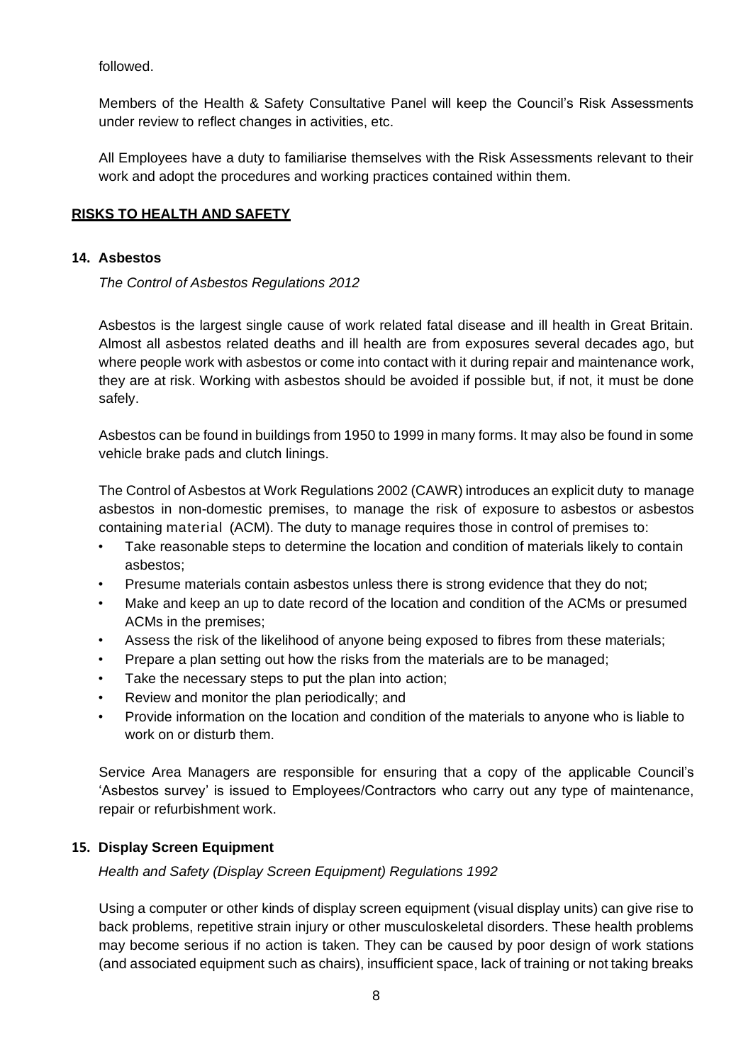followed.

Members of the Health & Safety Consultative Panel will keep the Council's Risk Assessments under review to reflect changes in activities, etc.

All Employees have a duty to familiarise themselves with the Risk Assessments relevant to their work and adopt the procedures and working practices contained within them.

# <span id="page-7-0"></span>**RISKS TO HEALTH AND SAFETY**

# <span id="page-7-1"></span>**14. Asbestos**

*The Control of Asbestos Regulations 2012*

Asbestos is the largest single cause of work related fatal disease and ill health in Great Britain. Almost all asbestos related deaths and ill health are from exposures several decades ago, but where people work with asbestos or come into contact with it during repair and maintenance work, they are at risk. Working with asbestos should be avoided if possible but, if not, it must be done safely.

Asbestos can be found in buildings from 1950 to 1999 in many forms. It may also be found in some vehicle brake pads and clutch linings.

The Control of Asbestos at Work Regulations 2002 (CAWR) introduces an explicit duty to manage asbestos in non-domestic premises, to manage the risk of exposure to asbestos or asbestos containing material (ACM). The duty to manage requires those in control of premises to:

- Take reasonable steps to determine the location and condition of materials likely to contain asbestos;
- Presume materials contain asbestos unless there is strong evidence that they do not;
- Make and keep an up to date record of the location and condition of the ACMs or presumed ACMs in the premises;
- Assess the risk of the likelihood of anyone being exposed to fibres from these materials;
- Prepare a plan setting out how the risks from the materials are to be managed;
- Take the necessary steps to put the plan into action;
- Review and monitor the plan periodically; and
- Provide information on the location and condition of the materials to anyone who is liable to work on or disturb them.

Service Area Managers are responsible for ensuring that a copy of the applicable Council's 'Asbestos survey' is issued to Employees/Contractors who carry out any type of maintenance, repair or refurbishment work.

# <span id="page-7-2"></span>**15. Display Screen Equipment**

*Health and Safety (Display Screen Equipment) Regulations 1992*

Using a computer or other kinds of display screen equipment (visual display units) can give rise to back problems, repetitive strain injury or other musculoskeletal disorders. These health problems may become serious if no action is taken. They can be caused by poor design of work stations (and associated equipment such as chairs), insufficient space, lack of training or not taking breaks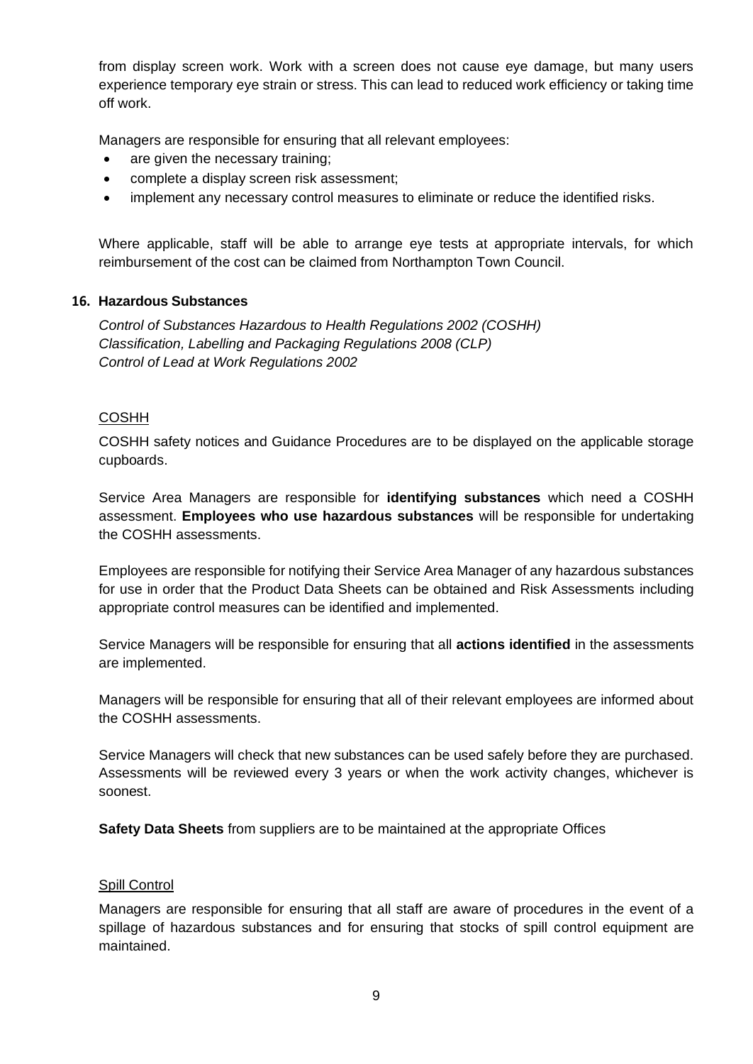from display screen work. Work with a screen does not cause eye damage, but many users experience temporary eye strain or stress. This can lead to reduced work efficiency or taking time off work.

Managers are responsible for ensuring that all relevant employees:

- are given the necessary training;
- complete a display screen risk assessment;
- implement any necessary control measures to eliminate or reduce the identified risks.

Where applicable, staff will be able to arrange eye tests at appropriate intervals, for which reimbursement of the cost can be claimed from Northampton Town Council.

# <span id="page-8-0"></span>**16. Hazardous Substances**

*Control of Substances Hazardous to Health Regulations 2002 (COSHH) Classification, Labelling and Packaging Regulations 2008 (CLP) Control of Lead at Work Regulations 2002*

# COSHH

COSHH safety notices and Guidance Procedures are to be displayed on the applicable storage cupboards.

Service Area Managers are responsible for **identifying substances** which need a COSHH assessment. **Employees who use hazardous substances** will be responsible for undertaking the COSHH assessments.

Employees are responsible for notifying their Service Area Manager of any hazardous substances for use in order that the Product Data Sheets can be obtained and Risk Assessments including appropriate control measures can be identified and implemented.

Service Managers will be responsible for ensuring that all **actions identified** in the assessments are implemented.

Managers will be responsible for ensuring that all of their relevant employees are informed about the COSHH assessments.

Service Managers will check that new substances can be used safely before they are purchased. Assessments will be reviewed every 3 years or when the work activity changes, whichever is soonest.

**Safety Data Sheets** from suppliers are to be maintained at the appropriate Offices

#### Spill Control

Managers are responsible for ensuring that all staff are aware of procedures in the event of a spillage of hazardous substances and for ensuring that stocks of spill control equipment are maintained.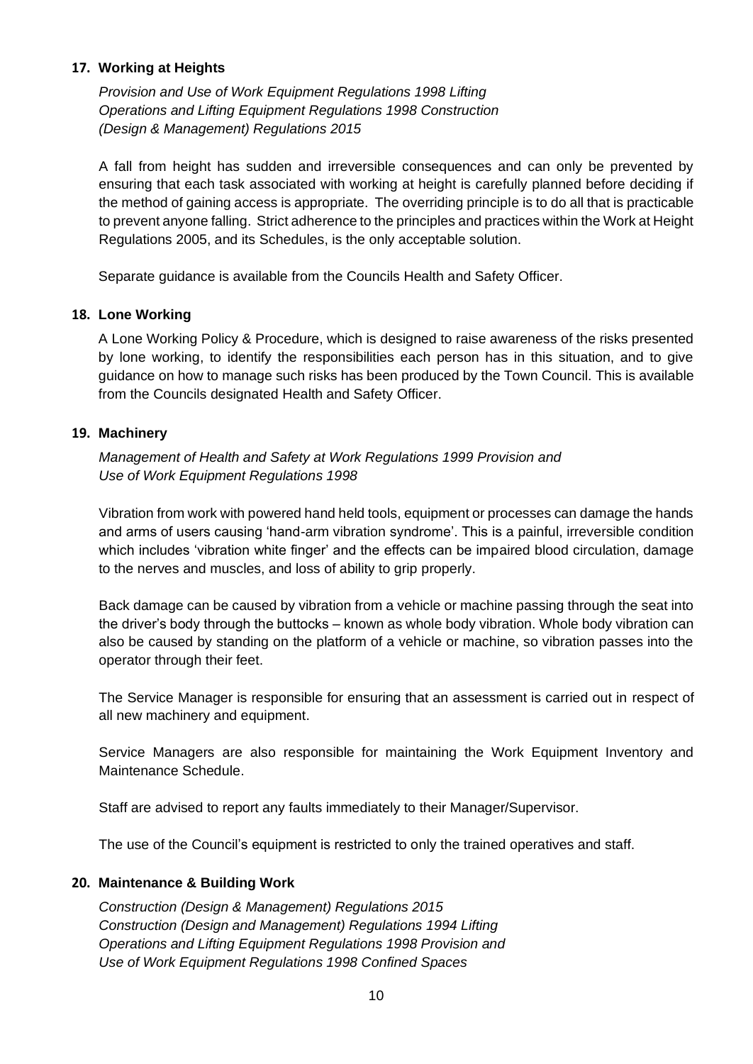# <span id="page-9-0"></span>**17. Working at Heights**

*Provision and Use of Work Equipment Regulations 1998 Lifting Operations and Lifting Equipment Regulations 1998 Construction (Design & Management) Regulations 2015*

A fall from height has sudden and irreversible consequences and can only be prevented by ensuring that each task associated with working at height is carefully planned before deciding if the method of gaining access is appropriate. The overriding principle is to do all that is practicable to prevent anyone falling. Strict adherence to the principles and practices within the Work at Height Regulations 2005, and its Schedules, is the only acceptable solution.

Separate guidance is available from the Councils Health and Safety Officer.

# <span id="page-9-1"></span>**18. Lone Working**

A Lone Working Policy & Procedure, which is designed to raise awareness of the risks presented by lone working, to identify the responsibilities each person has in this situation, and to give guidance on how to manage such risks has been produced by the Town Council. This is available from the Councils designated Health and Safety Officer.

# <span id="page-9-2"></span>**19. Machinery**

*Management of Health and Safety at Work Regulations 1999 Provision and Use of Work Equipment Regulations 1998*

Vibration from work with powered hand held tools, equipment or processes can damage the hands and arms of users causing 'hand-arm vibration syndrome'. This is a painful, irreversible condition which includes 'vibration white finger' and the effects can be impaired blood circulation, damage to the nerves and muscles, and loss of ability to grip properly.

Back damage can be caused by vibration from a vehicle or machine passing through the seat into the driver's body through the buttocks – known as whole body vibration. Whole body vibration can also be caused by standing on the platform of a vehicle or machine, so vibration passes into the operator through their feet.

The Service Manager is responsible for ensuring that an assessment is carried out in respect of all new machinery and equipment.

Service Managers are also responsible for maintaining the Work Equipment Inventory and Maintenance Schedule.

Staff are advised to report any faults immediately to their Manager/Supervisor.

The use of the Council's equipment is restricted to only the trained operatives and staff.

# <span id="page-9-3"></span>**20. Maintenance & Building Work**

*Construction (Design & Management) Regulations 2015 Construction (Design and Management) Regulations 1994 Lifting Operations and Lifting Equipment Regulations 1998 Provision and Use of Work Equipment Regulations 1998 Confined Spaces*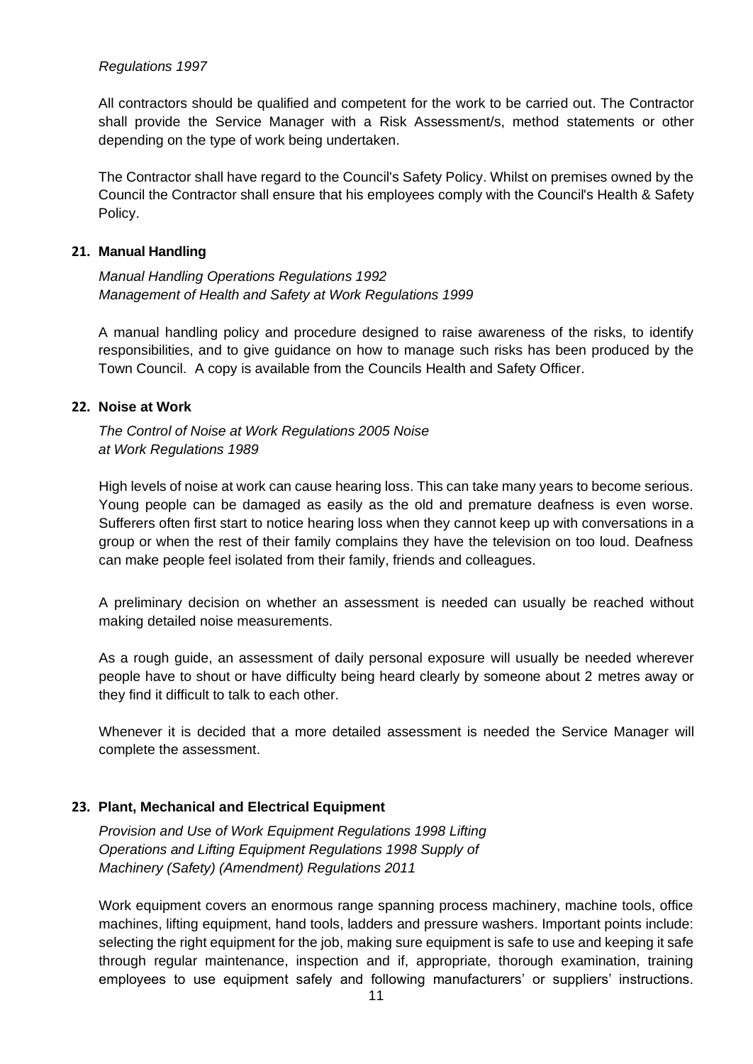#### *Regulations 1997*

All contractors should be qualified and competent for the work to be carried out. The Contractor shall provide the Service Manager with a Risk Assessment/s, method statements or other depending on the type of work being undertaken.

The Contractor shall have regard to the Council's Safety Policy. Whilst on premises owned by the Council the Contractor shall ensure that his employees comply with the Council's Health & Safety Policy.

#### <span id="page-10-0"></span>**21. Manual Handling**

*Manual Handling Operations Regulations 1992 Management of Health and Safety at Work Regulations 1999*

A manual handling policy and procedure designed to raise awareness of the risks, to identify responsibilities, and to give guidance on how to manage such risks has been produced by the Town Council. A copy is available from the Councils Health and Safety Officer.

# <span id="page-10-1"></span>**22. Noise at Work**

*The Control of Noise at Work Regulations 2005 Noise at Work Regulations 1989*

High levels of noise at work can cause hearing loss. This can take many years to become serious. Young people can be damaged as easily as the old and premature deafness is even worse. Sufferers often first start to notice hearing loss when they cannot keep up with conversations in a group or when the rest of their family complains they have the television on too loud. Deafness can make people feel isolated from their family, friends and colleagues.

A preliminary decision on whether an assessment is needed can usually be reached without making detailed noise measurements.

As a rough guide, an assessment of daily personal exposure will usually be needed wherever people have to shout or have difficulty being heard clearly by someone about 2 metres away or they find it difficult to talk to each other.

Whenever it is decided that a more detailed assessment is needed the Service Manager will complete the assessment.

# <span id="page-10-2"></span>**23. Plant, Mechanical and Electrical Equipment**

*Provision and Use of Work Equipment Regulations 1998 Lifting Operations and Lifting Equipment Regulations 1998 Supply of Machinery (Safety) (Amendment) Regulations 2011*

Work equipment covers an enormous range spanning process machinery, machine tools, office machines, lifting equipment, hand tools, ladders and pressure washers. Important points include: selecting the right equipment for the job, making sure equipment is safe to use and keeping it safe through regular maintenance, inspection and if, appropriate, thorough examination, training employees to use equipment safely and following manufacturers' or suppliers' instructions.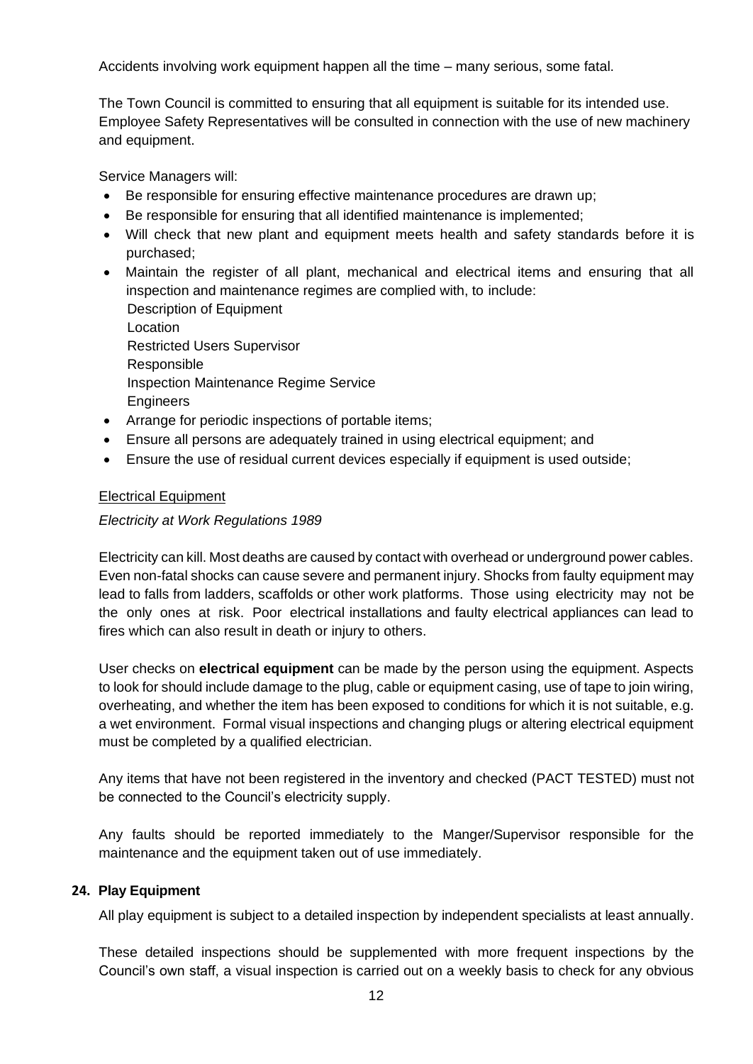Accidents involving work equipment happen all the time – many serious, some fatal.

The Town Council is committed to ensuring that all equipment is suitable for its intended use. Employee Safety Representatives will be consulted in connection with the use of new machinery and equipment.

Service Managers will:

- Be responsible for ensuring effective maintenance procedures are drawn up;
- Be responsible for ensuring that all identified maintenance is implemented;
- Will check that new plant and equipment meets health and safety standards before it is purchased;

• Maintain the register of all plant, mechanical and electrical items and ensuring that all inspection and maintenance regimes are complied with, to include: Description of Equipment Location Restricted Users Supervisor Responsible Inspection Maintenance Regime Service **Engineers** 

- Arrange for periodic inspections of portable items;
- Ensure all persons are adequately trained in using electrical equipment; and
- Ensure the use of residual current devices especially if equipment is used outside;

# Electrical Equipment

# *Electricity at Work Regulations 1989*

Electricity can kill. Most deaths are caused by contact with overhead or underground power cables. Even non-fatal shocks can cause severe and permanent injury. Shocks from faulty equipment may lead to falls from ladders, scaffolds or other work platforms. Those using electricity may not be the only ones at risk. Poor electrical installations and faulty electrical appliances can lead to fires which can also result in death or injury to others.

User checks on **electrical equipment** can be made by the person using the equipment. Aspects to look for should include damage to the plug, cable or equipment casing, use of tape to join wiring, overheating, and whether the item has been exposed to conditions for which it is not suitable, e.g. a wet environment. Formal visual inspections and changing plugs or altering electrical equipment must be completed by a qualified electrician.

Any items that have not been registered in the inventory and checked (PACT TESTED) must not be connected to the Council's electricity supply.

Any faults should be reported immediately to the Manger/Supervisor responsible for the maintenance and the equipment taken out of use immediately.

# <span id="page-11-0"></span>**24. Play Equipment**

All play equipment is subject to a detailed inspection by independent specialists at least annually.

These detailed inspections should be supplemented with more frequent inspections by the Council's own staff, a visual inspection is carried out on a weekly basis to check for any obvious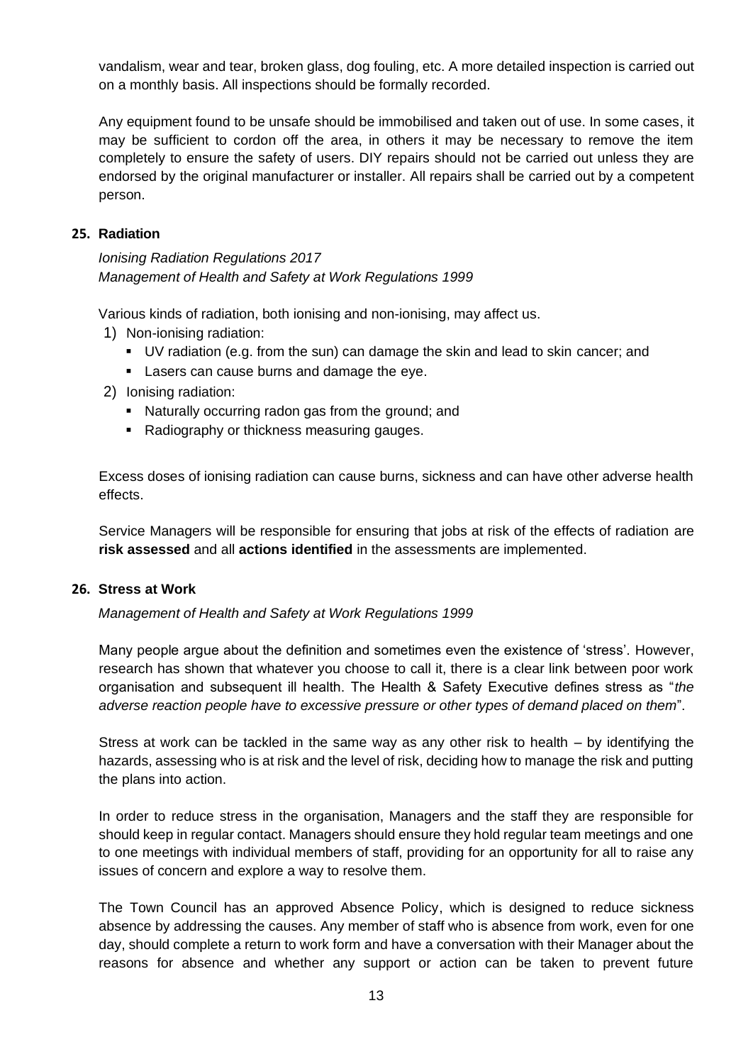vandalism, wear and tear, broken glass, dog fouling, etc. A more detailed inspection is carried out on a monthly basis. All inspections should be formally recorded.

Any equipment found to be unsafe should be immobilised and taken out of use. In some cases, it may be sufficient to cordon off the area, in others it may be necessary to remove the item completely to ensure the safety of users. DIY repairs should not be carried out unless they are endorsed by the original manufacturer or installer. All repairs shall be carried out by a competent person.

# <span id="page-12-0"></span>**25. Radiation**

*Ionising Radiation Regulations 2017 Management of Health and Safety at Work Regulations 1999*

Various kinds of radiation, both ionising and non-ionising, may affect us.

- 1) Non-ionising radiation:
	- UV radiation (e.g. from the sun) can damage the skin and lead to skin cancer; and
	- Lasers can cause burns and damage the eye.
- 2) Ionising radiation:
	- Naturally occurring radon gas from the ground; and
	- Radiography or thickness measuring gauges.

Excess doses of ionising radiation can cause burns, sickness and can have other adverse health effects.

Service Managers will be responsible for ensuring that jobs at risk of the effects of radiation are **risk assessed** and all **actions identified** in the assessments are implemented.

# <span id="page-12-1"></span>**26. Stress at Work**

*Management of Health and Safety at Work Regulations 1999*

Many people argue about the definition and sometimes even the existence of 'stress'. However, research has shown that whatever you choose to call it, there is a clear link between poor work organisation and subsequent ill health. The Health & Safety Executive defines stress as "*the adverse reaction people have to excessive pressure or other types of demand placed on them*".

Stress at work can be tackled in the same way as any other risk to health – by identifying the hazards, assessing who is at risk and the level of risk, deciding how to manage the risk and putting the plans into action.

In order to reduce stress in the organisation, Managers and the staff they are responsible for should keep in regular contact. Managers should ensure they hold regular team meetings and one to one meetings with individual members of staff, providing for an opportunity for all to raise any issues of concern and explore a way to resolve them.

The Town Council has an approved Absence Policy, which is designed to reduce sickness absence by addressing the causes. Any member of staff who is absence from work, even for one day, should complete a return to work form and have a conversation with their Manager about the reasons for absence and whether any support or action can be taken to prevent future